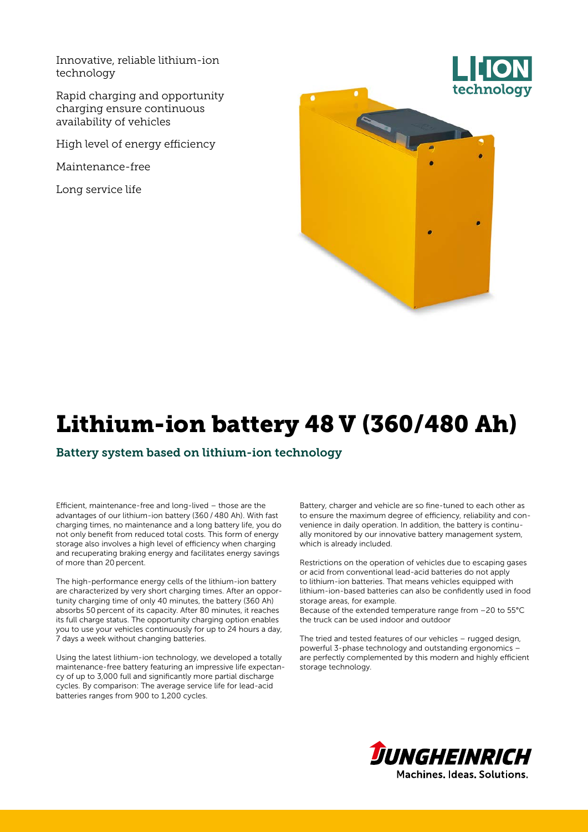Innovative, reliable lithium-ion technology

Rapid charging and opportunity charging ensure continuous availability of vehicles

High level of energy efficiency

Maintenance-free

Long service life



# Lithium-ion battery 48 V (360/480 Ah)

Battery system based on lithium-ion technology

Efficient, maintenance-free and long-lived – those are the advantages of our lithium-ion battery (360 / 480 Ah). With fast charging times, no maintenance and a long battery life, you do not only benefit from reduced total costs. This form of energy storage also involves a high level of efficiency when charging and recuperating braking energy and facilitates energy savings of more than 20 percent.

The high-performance energy cells of the lithium-ion battery are characterized by very short charging times. After an opportunity charging time of only 40 minutes, the battery (360 Ah) absorbs 50 percent of its capacity. After 80 minutes, it reaches its full charge status. The opportunity charging option enables you to use your vehicles continuously for up to 24 hours a day, 7 days a week without changing batteries.

Using the latest lithium-ion technology, we developed a totally maintenance-free battery featuring an impressive life expectancy of up to 3,000 full and significantly more partial discharge cycles. By comparison: The average service life for lead-acid batteries ranges from 900 to 1,200 cycles.

Battery, charger and vehicle are so fine-tuned to each other as to ensure the maximum degree of efficiency, reliability and convenience in daily operation. In addition, the battery is continually monitored by our innovative battery management system, which is already included.

Restrictions on the operation of vehicles due to escaping gases or acid from conventional lead-acid batteries do not apply to lithium-ion batteries. That means vehicles equipped with lithium-ion-based batteries can also be confidently used in food storage areas, for example.

Because of the extended temperature range from –20 to 55°C the truck can be used indoor and outdoor

The tried and tested features of our vehicles – rugged design, powerful 3-phase technology and outstanding ergonomics – are perfectly complemented by this modern and highly efficient storage technology.

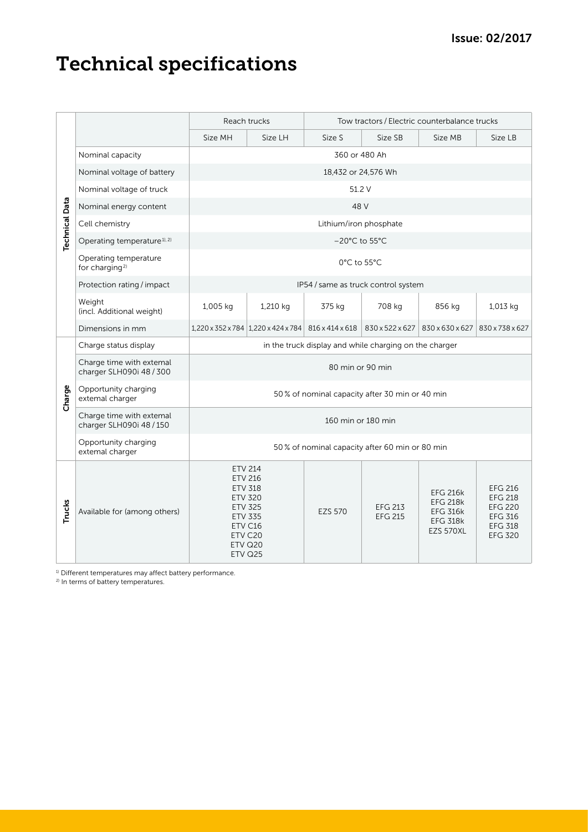# Technical specifications

|                       |                                                      | Reach trucks                                                                                                                                         |                                     | Tow tractors / Electric counterbalance trucks |                                  |                                                                                              |                                                                                                          |
|-----------------------|------------------------------------------------------|------------------------------------------------------------------------------------------------------------------------------------------------------|-------------------------------------|-----------------------------------------------|----------------------------------|----------------------------------------------------------------------------------------------|----------------------------------------------------------------------------------------------------------|
|                       |                                                      | Size MH                                                                                                                                              | Size LH                             | Size S                                        | Size SB                          | Size MB                                                                                      | Size LB                                                                                                  |
| <b>Technical Data</b> | Nominal capacity                                     | 360 or 480 Ah                                                                                                                                        |                                     |                                               |                                  |                                                                                              |                                                                                                          |
|                       | Nominal voltage of battery                           | 18,432 or 24,576 Wh                                                                                                                                  |                                     |                                               |                                  |                                                                                              |                                                                                                          |
|                       | Nominal voltage of truck                             | 51.2 V                                                                                                                                               |                                     |                                               |                                  |                                                                                              |                                                                                                          |
|                       | Nominal energy content                               | 48 V                                                                                                                                                 |                                     |                                               |                                  |                                                                                              |                                                                                                          |
|                       | Cell chemistry                                       | Lithium/iron phosphate                                                                                                                               |                                     |                                               |                                  |                                                                                              |                                                                                                          |
|                       | Operating temperature <sup>1), 2)</sup>              | $-20^{\circ}$ C to 55 $^{\circ}$ C                                                                                                                   |                                     |                                               |                                  |                                                                                              |                                                                                                          |
|                       | Operating temperature<br>for charging <sup>2)</sup>  | 0°C to 55°C                                                                                                                                          |                                     |                                               |                                  |                                                                                              |                                                                                                          |
|                       | Protection rating / impact                           | IP54 / same as truck control system                                                                                                                  |                                     |                                               |                                  |                                                                                              |                                                                                                          |
|                       | Weight<br>(incl. Additional weight)                  | 1,005 kg                                                                                                                                             | 1,210 kg                            | 375 kg                                        | 708 kg                           | 856 kg                                                                                       | 1,013 kg                                                                                                 |
|                       | Dimensions in mm                                     |                                                                                                                                                      | 1,220 x 352 x 784 1,220 x 424 x 784 | 816 x 414 x 618                               | 830 x 522 x 627                  | 830 x 630 x 627                                                                              | 830 x 738 x 627                                                                                          |
| Charge                | Charge status display                                | in the truck display and while charging on the charger                                                                                               |                                     |                                               |                                  |                                                                                              |                                                                                                          |
|                       | Charge time with extemal<br>charger SLH090i 48 / 300 | 80 min or 90 min                                                                                                                                     |                                     |                                               |                                  |                                                                                              |                                                                                                          |
|                       | Opportunity charging<br>extemal charger              | 50 % of nominal capacity after 30 min or 40 min                                                                                                      |                                     |                                               |                                  |                                                                                              |                                                                                                          |
|                       | Charge time with extemal<br>charger SLH090i 48 / 150 | 160 min or 180 min                                                                                                                                   |                                     |                                               |                                  |                                                                                              |                                                                                                          |
|                       | Opportunity charging<br>extemal charger              | 50 % of nominal capacity after 60 min or 80 min                                                                                                      |                                     |                                               |                                  |                                                                                              |                                                                                                          |
| <b>Trucks</b>         | Available for (among others)                         | <b>ETV 214</b><br><b>ETV 216</b><br><b>ETV 318</b><br><b>ETV 320</b><br><b>ETV 325</b><br><b>ETV 335</b><br>ETV C16<br>ETV C20<br>ETV Q20<br>ETV Q25 |                                     | <b>EZS 570</b>                                | <b>EFG 213</b><br><b>EFG 215</b> | <b>EFG 216k</b><br><b>EFG 218k</b><br><b>EFG 316k</b><br><b>EFG 318k</b><br><b>EZS 570XL</b> | <b>EFG 216</b><br><b>EFG 218</b><br><b>EFG 220</b><br><b>EFG 316</b><br><b>EFG 318</b><br><b>EFG 320</b> |

<sup>1)</sup> Different temperatures may affect battery performance.<br><sup>2)</sup> In terms of battery temperatures.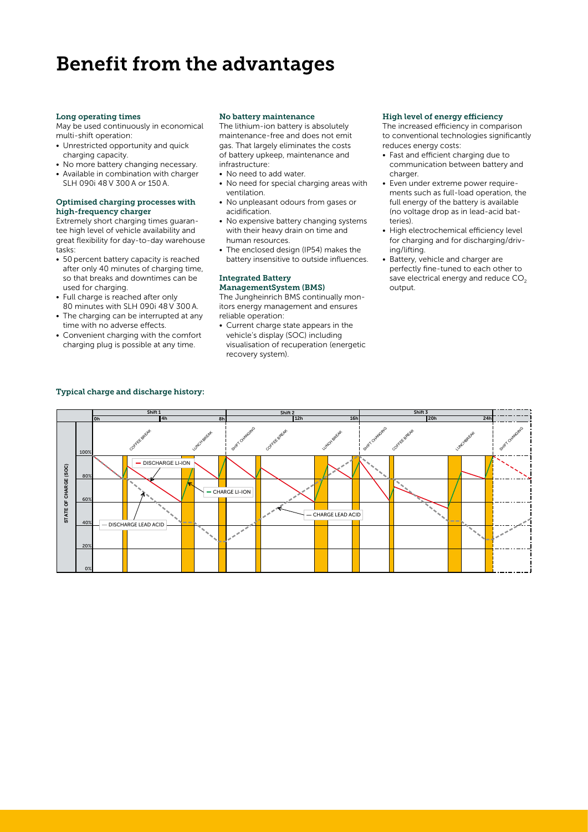# Benefit from the advantages

### Long operating times

May be used continuously in economical multi-shift operation:

- Unrestricted opportunity and quick charging capacity.
- No more battery changing necessary.
- Available in combination with charger SLH 090i 48 V 300 A or 150 A.

# Optimised charging processes with high-frequency charger

Extremely short charging times guarantee high level of vehicle availability and great flexibility for day-to-day warehouse tasks:

- 50 percent battery capacity is reached after only 40 minutes of charging time, so that breaks and downtimes can be used for charging.
- Full charge is reached after only 80 minutes with SLH 090i 48 V 300 A.
- The charging can be interrupted at any time with no adverse effects.
- Convenient charging with the comfort charging plug is possible at any time.

Typical charge and discharge history:

### No battery maintenance

The lithium-ion battery is absolutely maintenance-free and does not emit gas. That largely eliminates the costs of battery upkeep, maintenance and infrastructure:

- No need to add water.
- No need for special charging areas with ventilation.
- No unpleasant odours from gases or acidification.
- No expensive battery changing systems with their heavy drain on time and human resources.
- The enclosed design (IP54) makes the battery insensitive to outside influences.

### Integrated Battery ManagementSystem (BMS)

The Jungheinrich BMS continually monitors energy management and ensures reliable operation:

• Current charge state appears in the vehicle's display (SOC) including visualisation of recuperation (energetic recovery system).

### High level of energy efficiency

The increased efficiency in comparison to conventional technologies significantly reduces energy costs:

- Fast and efficient charging due to communication between battery and charger
- Even under extreme power requirements such as full-load operation, the full energy of the battery is available (no voltage drop as in lead-acid batteries).
- High electrochemical efficiency level for charging and for discharging/driving/lifting.
- Battery, vehicle and charger are perfectly fine-tuned to each other to save electrical energy and reduce  $CO<sub>2</sub>$ output.